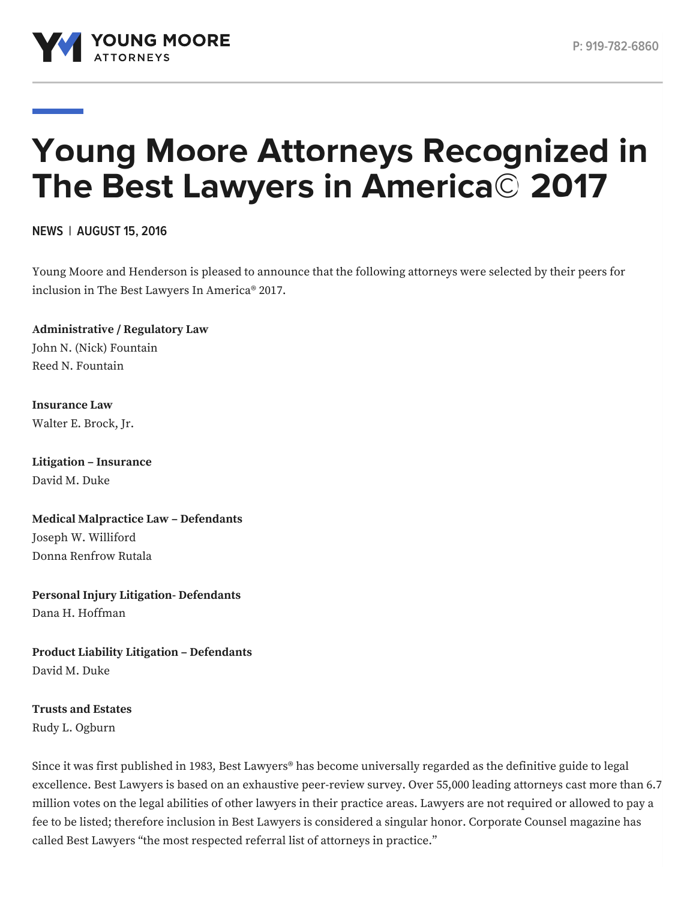

## **Young Moore Attorneys Recognized in The Best Lawyers in America© 2017**

**NEWS | AUGUST 15, 2016**

Young Moore and Henderson is pleased to announce that the following attorneys were selected by their peers for inclusion in The Best Lawyers In America® 2017.

**Administrative / Regulatory Law** John N. (Nick) [Fountain](https://www.youngmoorelaw.com/h/our-people/lawyers/nick-fountain/) Reed N. [Fountain](https://www.youngmoorelaw.com/h/our-people/lawyers/reed-n-fountain/)

**Insurance Law** [Walter](https://www.youngmoorelaw.com/h/our-people/lawyers/walter-brock/) E. Brock, Jr.

**Litigation – Insurance** [David](https://www.youngmoorelaw.com/h/our-people/lawyers/david-duke/) M. Duke

**Medical Malpractice Law – Defendants** Joseph W. [Williford](https://www.youngmoorelaw.com/h/our-people/lawyers/joseph-williford/) Donna [Renfrow](https://www.youngmoorelaw.com/h/our-people/lawyers/donna-rutala/) Rutala

**Personal Injury Litigation- Defendants** Dana H. [Hoffman](https://www.youngmoorelaw.com/h/our-people/lawyers/dana-hoffman/)

**Product Liability Litigation – Defendants** [David](https://www.youngmoorelaw.com/h/our-people/lawyers/david-duke/) M. Duke

**Trusts and Estates** Rudy L. [Ogburn](https://www.youngmoorelaw.com/h/our-people/lawyers/rudy-ogburn/)

Since it was first published in 1983, Best Lawyers® has become universally regarded as the definitive guide to legal excellence. Best Lawyers is based on an exhaustive peer-review survey. Over 55,000 leading attorneys cast more than 6.7 million votes on the legal abilities of other lawyers in their practice areas. Lawyers are not required or allowed to pay a fee to be listed; therefore inclusion in Best Lawyers is considered a singular honor. Corporate Counsel magazine has called Best Lawyers "the most respected referral list of attorneys in practice."